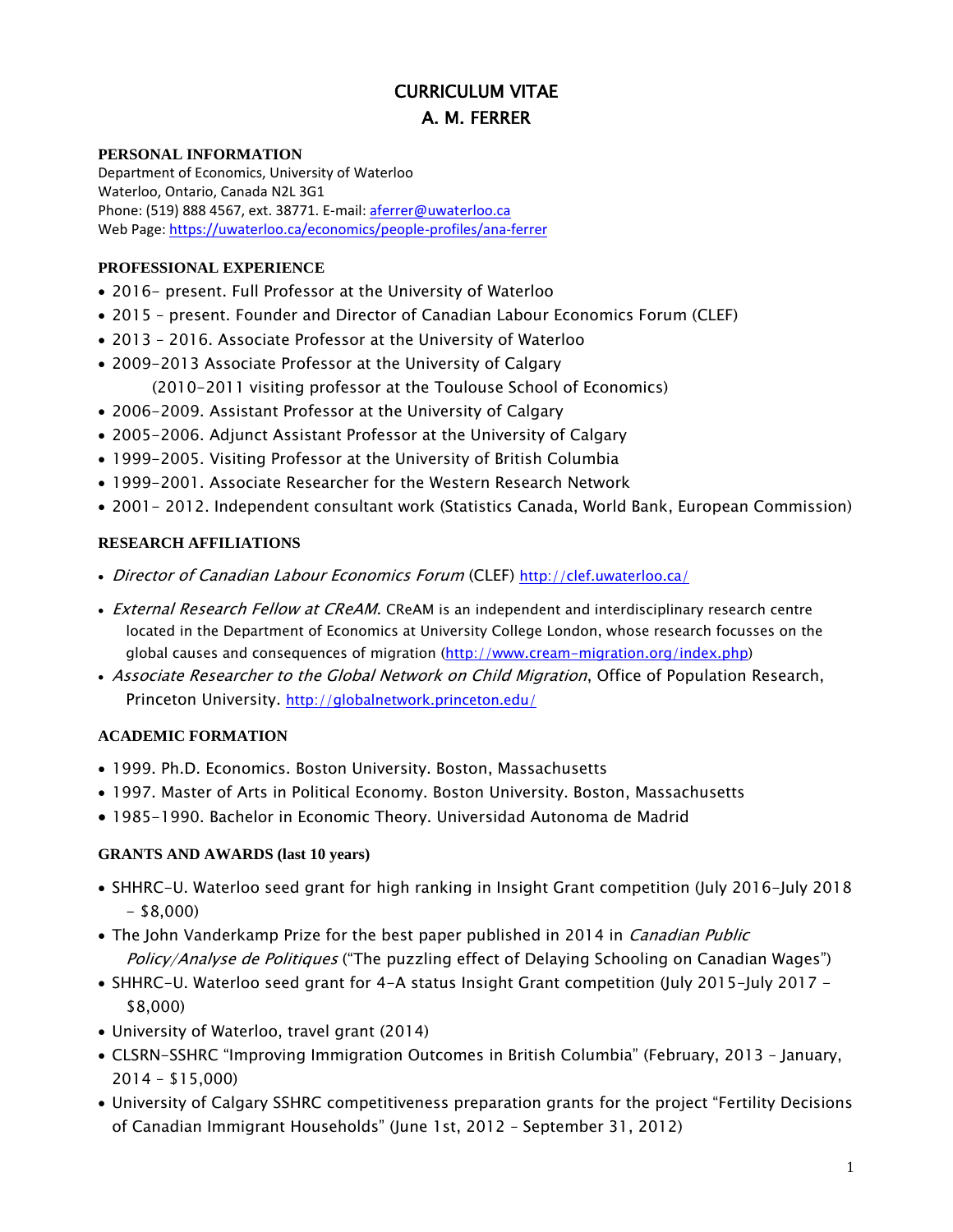# CURRICULUM VITAE A. M. FERRER

#### **PERSONAL INFORMATION**

Department of Economics, University of Waterloo Waterloo, Ontario, Canada N2L 3G1 Phone: (519) 888 4567, ext. 38771. E-mail[: aferrer@uwaterloo.ca](mailto:aferrer@uwaterloo.ca) Web Page:<https://uwaterloo.ca/economics/people-profiles/ana-ferrer>

#### **PROFESSIONAL EXPERIENCE**

- 2016- present. Full Professor at the University of Waterloo
- 2015 present. Founder and Director of Canadian Labour Economics Forum (CLEF)
- 2013 2016. Associate Professor at the University of Waterloo
- 2009-2013 Associate Professor at the University of Calgary (2010-2011 visiting professor at the Toulouse School of Economics)
- 2006-2009. Assistant Professor at the University of Calgary
- 2005-2006. Adjunct Assistant Professor at the University of Calgary
- 1999-2005. Visiting Professor at the University of British Columbia
- 1999-2001. Associate Researcher for the Western Research Network
- 2001- 2012. Independent consultant work (Statistics Canada, World Bank, European Commission)

#### **RESEARCH AFFILIATIONS**

- Director of Canadian Labour Economics Forum (CLEF) <http://clef.uwaterloo.ca/>
- External Research Fellow at CReAM. CReAM is an independent and interdisciplinary research centre located in the Department of Economics at University College London, whose research focusses on the global causes and consequences of migration [\(http://www.cream-migration.org/index.php\)](http://www.cream-migration.org/index.php)
- Associate Researcher to the Global Network on Child Migration, Office of Population Research, Princeton University. <http://globalnetwork.princeton.edu/>

#### **ACADEMIC FORMATION**

- 1999. Ph.D. Economics. Boston University. Boston, Massachusetts
- 1997. Master of Arts in Political Economy. Boston University. Boston, Massachusetts
- 1985-1990. Bachelor in Economic Theory. Universidad Autonoma de Madrid

#### **GRANTS AND AWARDS (last 10 years)**

- SHHRC-U. Waterloo seed grant for high ranking in Insight Grant competition (July 2016-July 2018  $-$  \$8,000)
- The John Vanderkamp Prize for the best paper published in 2014 in *Canadian Public* Policy/Analyse de Politiques ("The puzzling effect of Delaying Schooling on Canadian Wages")
- SHHRC-U. Waterloo seed grant for 4-A status Insight Grant competition (July 2015-July 2017 \$8,000)
- University of Waterloo, travel grant (2014)
- CLSRN-SSHRC "Improving Immigration Outcomes in British Columbia" (February, 2013 January, 2014 – \$15,000)
- University of Calgary SSHRC competitiveness preparation grants for the project "Fertility Decisions of Canadian Immigrant Households" (June 1st, 2012 – September 31, 2012)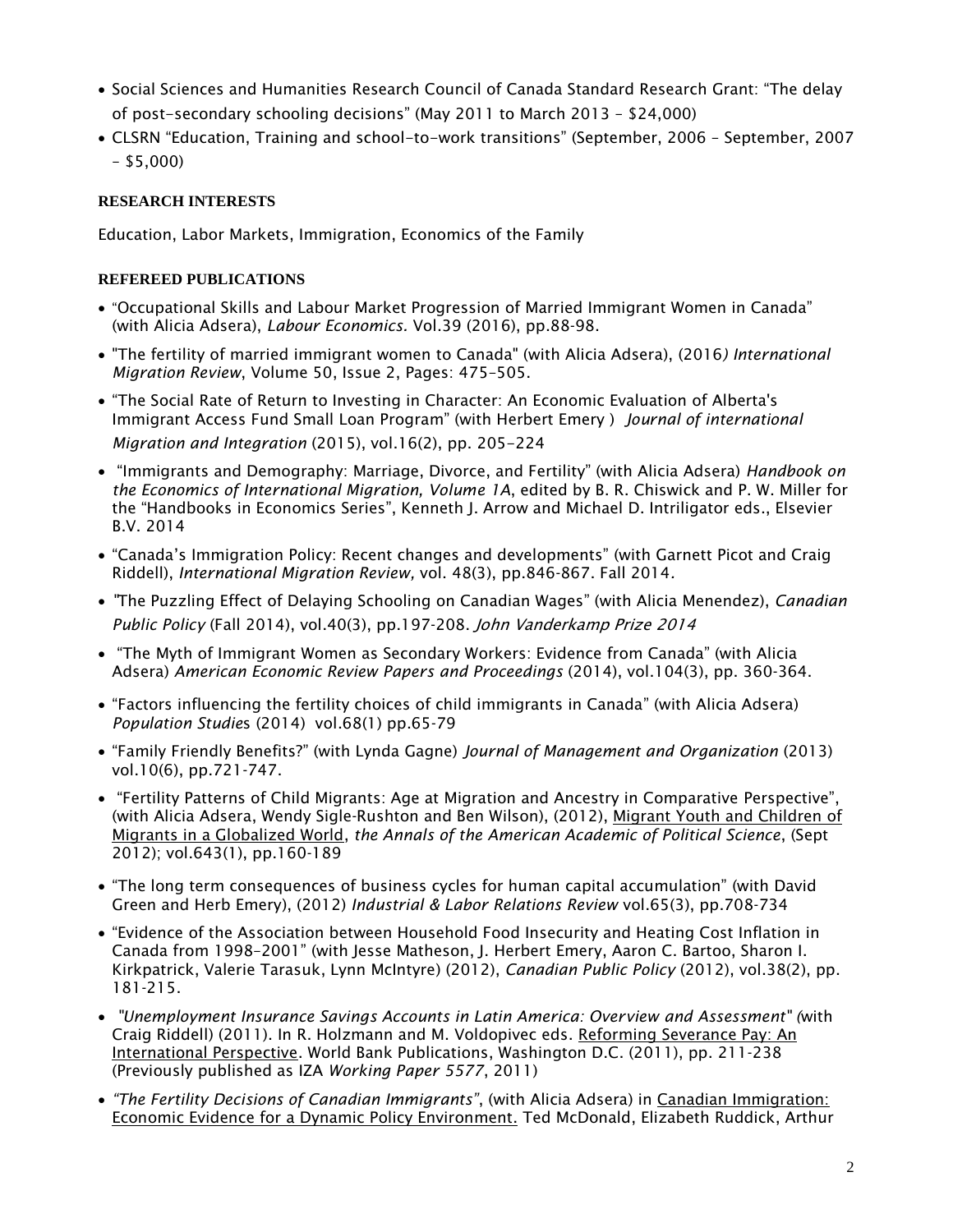- Social Sciences and Humanities Research Council of Canada Standard Research Grant: "The delay of post-secondary schooling decisions" (May 2011 to March 2013 – \$24,000)
- CLSRN "Education, Training and school-to-work transitions" (September, 2006 September, 2007 – \$5,000)

## **RESEARCH INTERESTS**

Education, Labor Markets, Immigration, Economics of the Family

### **REFEREED PUBLICATIONS**

- "Occupational Skills and Labour Market Progression of Married Immigrant Women in Canada" (with Alicia Adsera), *Labour Economics.* Vol.39 (2016), pp.88-98.
- "The fertility of married immigrant women to Canada" (with Alicia Adsera), (2016*) International Migration Review*, Volume 50, Issue 2, Pages: 475–505.
- "The Social Rate of Return to Investing in Character: An Economic Evaluation of Alberta's Immigrant Access Fund Small Loan Program" (with Herbert Emery ) *Journal of international Migration and Integration* (2015), vol.16(2), pp. 205-224
- "Immigrants and Demography: Marriage, Divorce, and Fertility" (with Alicia Adsera) *Handbook on the Economics of International Migration, Volume 1A*, edited by B. R. Chiswick and P. W. Miller for the "Handbooks in Economics Series", Kenneth J. Arrow and Michael D. Intriligator eds., Elsevier B.V. 2014
- "Canada's Immigration Policy: Recent changes and developments" (with Garnett Picot and Craig Riddell), *International Migration Review,* vol. 48(3), pp.846-867. Fall 2014*.*
- *"*The Puzzling Effect of Delaying Schooling on Canadian Wages" (with Alicia Menendez), *Canadian Public Policy* (Fall 2014), vol.40(3), pp.197-208. John Vanderkamp Prize 2014
- "The Myth of Immigrant Women as Secondary Workers: Evidence from Canada" (with Alicia Adsera) *American Economic Review Papers and Proceedings* (2014), vol.104(3), pp. 360-364.
- "Factors influencing the fertility choices of child immigrants in Canada" (with Alicia Adsera) *Population Studie*s (2014) vol.68(1) pp.65-79
- "Family Friendly Benefits?" (with Lynda Gagne) *Journal of Management and Organization* (2013) vol.10(6), pp.721-747.
- "Fertility Patterns of Child Migrants: Age at Migration and Ancestry in Comparative Perspective", (with Alicia Adsera, Wendy Sigle-Rushton and Ben Wilson), (2012), Migrant Youth and Children of Migrants in a Globalized World, *the Annals of the American Academic of Political Science*, (Sept 2012); vol.643(1), pp.160-189
- "The long term consequences of business cycles for human capital accumulation" (with David Green and Herb Emery), (2012) *Industrial & Labor Relations Review* vol.65(3), pp.708-734
- "Evidence of the Association between Household Food Insecurity and Heating Cost Inflation in Canada from 1998–2001" (with Jesse Matheson, J. Herbert Emery, Aaron C. Bartoo, Sharon I. Kirkpatrick, Valerie Tarasuk, Lynn McIntyre) (2012), *Canadian Public Policy* (2012), vol.38(2), pp. 181-215.
- *"Unemployment Insurance Savings Accounts in Latin America: Overview and Assessment" (*with Craig Riddell) (2011). In R. Holzmann and M. Voldopivec eds. Reforming Severance Pay: An International Perspective. World Bank Publications, Washington D.C. (2011), pp. 211-238 (Previously published as IZA *Working Paper 5577*, 2011)
- *"The Fertility Decisions of Canadian Immigrants"*, (with Alicia Adsera) in Canadian Immigration: Economic Evidence for a Dynamic Policy Environment. Ted McDonald, Elizabeth Ruddick, Arthur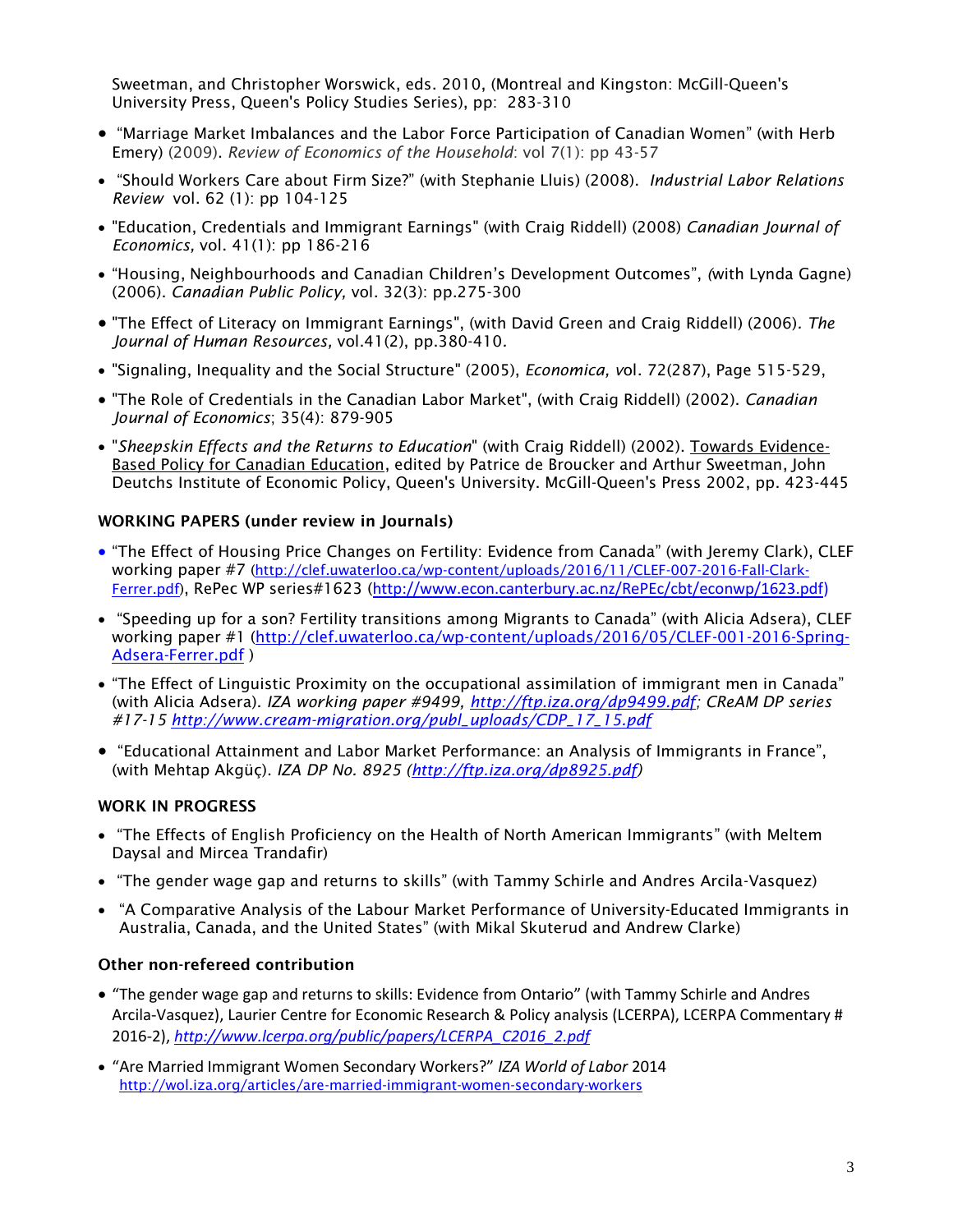Sweetman, and Christopher Worswick, eds. 2010, (Montreal and Kingston: McGill-Queen's University Press, Queen's Policy Studies Series), pp: 283-310

- "Marriage Market Imbalances and the Labor Force Participation of Canadian Women" (with Herb Emery) (2009). *Review of Economics of the Household*: vol 7(1): pp 43-57
- "Should Workers Care about Firm Size?" (with Stephanie Lluis) (2008). *Industrial Labor Relations Review* vol. 62 (1): pp 104-125
- "Education, Credentials and Immigrant Earnings" (with Craig Riddell) (2008) *Canadian Journal of Economics,* vol. 41(1): pp 186-216
- "Housing, Neighbourhoods and Canadian Children's Development Outcomes", *(*with Lynda Gagne) (2006). *Canadian Public Policy,* vol. 32(3): pp.275-300
- "The Effect of Literacy on Immigrant Earnings", (with David Green and Craig Riddell) (2006)*. The Journal of Human Resources,* vol.41(2), pp.380-410*.*
- "Signaling, Inequality and the Social Structure" (2005), *Economica, v*ol. 72(287), Page 515-529,
- "The Role of Credentials in the Canadian Labor Market", (with Craig Riddell) (2002). *Canadian Journal of Economics*; 35(4): 879-905
- "*Sheepskin Effects and the Returns to Education*" (with Craig Riddell) (2002). Towards Evidence-Based Policy for Canadian Education, edited by Patrice de Broucker and Arthur Sweetman, John Deutchs Institute of Economic Policy, Queen's University. McGill-Queen's Press 2002, pp. 423-445

#### WORKING PAPERS (under review in Journals)

- "The Effect of Housing Price Changes on Fertility: Evidence from Canada" (with Jeremy Clark), CLEF working paper #7 [\(http://clef.uwaterloo.ca/wp-content/uploads/2016/11/CLEF-007-2016-Fall-Clark-](http://clef.uwaterloo.ca/wp-content/uploads/2016/11/CLEF-007-2016-Fall-Clark-Ferrer.pdf)[Ferrer.pdf\)](http://clef.uwaterloo.ca/wp-content/uploads/2016/11/CLEF-007-2016-Fall-Clark-Ferrer.pdf), RePec WP series#1623 ([http://www.econ.canterbury.ac.nz/RePEc/cbt/econwp/1623.pdf\)](http://econpapers.repec.org/scripts/redir.pf?u=http%3A%2F%2Fwww.econ.canterbury.ac.nz%2FRePEc%2Fcbt%2Feconwp%2F1623.pdf;h=repec:cbt:econwp:16/23)
- "Speeding up for a son? Fertility transitions among Migrants to Canada" (with Alicia Adsera), CLEF working paper #1 [\(http://clef.uwaterloo.ca/wp-content/uploads/2016/05/CLEF-001-2016-Spring-](http://clef.uwaterloo.ca/wp-content/uploads/2016/05/CLEF-001-2016-Spring-Adsera-Ferrer.pdf)[Adsera-Ferrer.pdf](http://clef.uwaterloo.ca/wp-content/uploads/2016/05/CLEF-001-2016-Spring-Adsera-Ferrer.pdf) )
- "The Effect of Linguistic Proximity on the occupational assimilation of immigrant men in Canada" (with Alicia Adsera). *IZA working paper #9499, [http://ftp.iza.org/dp9499.pdf;](http://ftp.iza.org/dp9499.pdf) CReAM DP series #17-15 [http://www.cream-migration.org/publ\\_uploads/CDP\\_17\\_15.pdf](http://www.cream-migration.org/publ_uploads/CDP_17_15.pdf)*
- "Educational Attainment and Labor Market Performance: an Analysis of Immigrants in France", (with Mehtap Akgüç). *IZA DP No. 8925 [\(http://ftp.iza.org/dp8925.pdf\)](http://ftp.iza.org/dp8925.pdf)*

#### WORK IN PROGRESS

- "The Effects of English Proficiency on the Health of North American Immigrants" (with Meltem Daysal and Mircea Trandafir)
- "The gender wage gap and returns to skills" (with Tammy Schirle and Andres Arcila-Vasquez)
- "A Comparative Analysis of the Labour Market Performance of University-Educated Immigrants in Australia, Canada, and the United States" (with Mikal Skuterud and Andrew Clarke)

#### Other non-refereed contribution

- "The gender wage gap and returns to skills: Evidence from Ontario" (with Tammy Schirle and Andres Arcila-Vasquez), Laurier Centre for Economic Research & Policy analysis (LCERPA), LCERPA Commentary # 2016-2), *[http://www.lcerpa.org/public/papers/LCERPA\\_C2016\\_2.pdf](http://www.lcerpa.org/public/papers/LCERPA_C2016_2.pdf)*
- "Are Married Immigrant Women Secondary Workers?" *IZA World of Labor* 2014 <http://wol.iza.org/articles/are-married-immigrant-women-secondary-workers>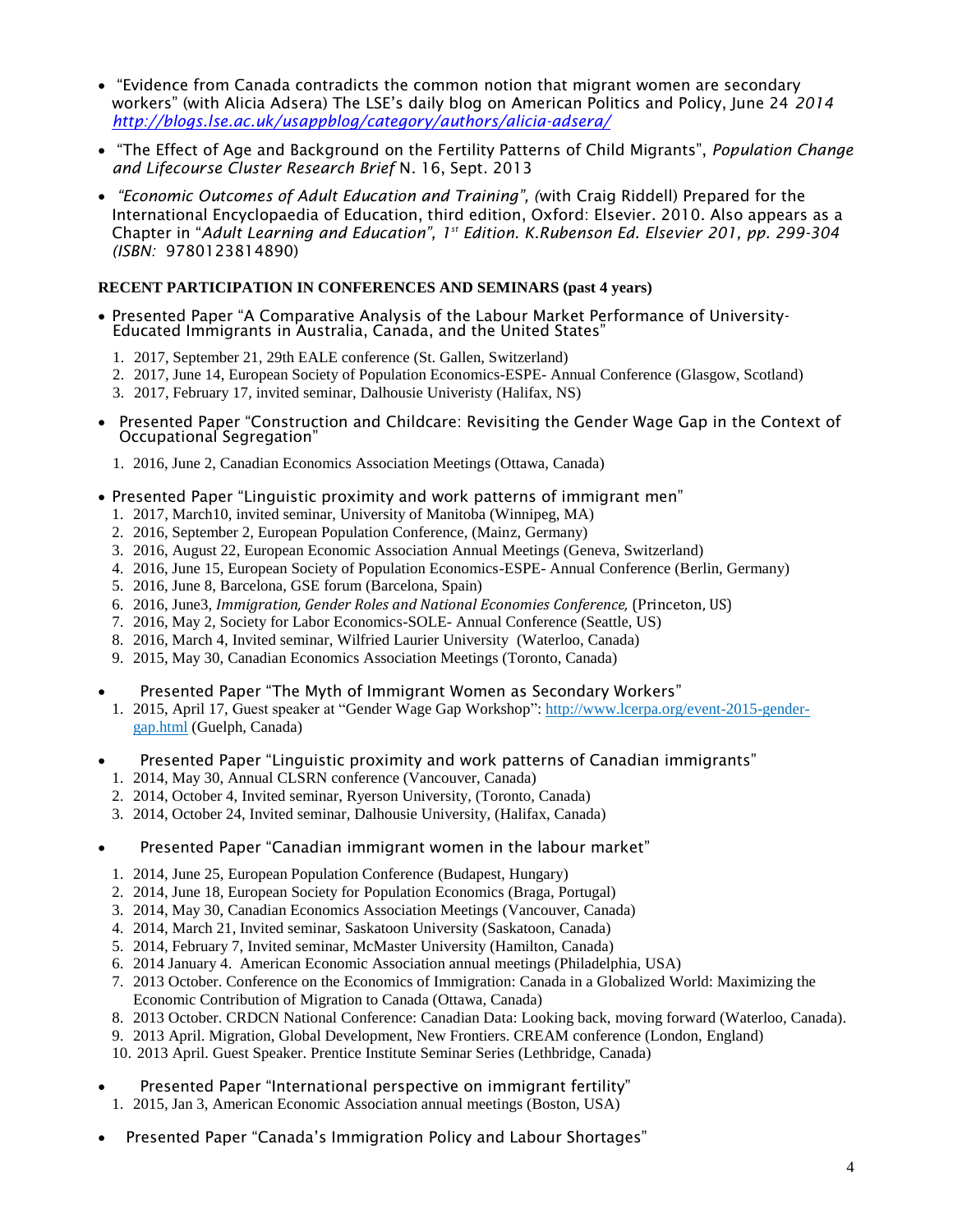- "[Evidence from Canada contradicts the common notion that migrant women are secondary](http://blogs.lse.ac.uk/usappblog/2014/06/24/evidence-from-canada-contradicts-the-common-notion-that-migrant-women-are-secondary-workers/)  [workers](http://blogs.lse.ac.uk/usappblog/2014/06/24/evidence-from-canada-contradicts-the-common-notion-that-migrant-women-are-secondary-workers/)" (with Alicia Adsera) The LSE's daily blog on American Politics and Policy, June 24 *2014 <http://blogs.lse.ac.uk/usappblog/category/authors/alicia-adsera/>*
- "The Effect of Age and Background on the Fertility Patterns of Child Migrants", *Population Change and Lifecourse Cluster Research Brief* N. 16, Sept. 2013
- *"Economic Outcomes of Adult Education and Training", (*with Craig Riddell) Prepared for the International Encyclopaedia of Education, third edition, Oxford: Elsevier. 2010. Also appears as a Chapter in "*Adult Learning and Education", 1st Edition. K.Rubenson Ed. Elsevier 201, pp. 299-304 (ISBN:* 9780123814890)

#### **RECENT PARTICIPATION IN CONFERENCES AND SEMINARS (past 4 years)**

- Presented Paper "A Comparative Analysis of the Labour Market Performance of University-Educated Immigrants in Australia, Canada, and the United States"
	- 1. 2017, September 21, 29th EALE conference (St. Gallen, Switzerland)
	- 2. 2017, June 14, European Society of Population Economics-ESPE- Annual Conference (Glasgow, Scotland)
	- 3. 2017, February 17, invited seminar, Dalhousie Univeristy (Halifax, NS)
- Presented Paper "Construction and Childcare: Revisiting the Gender Wage Gap in the Context of Occupational Segregation"
	- 1. 2016, June 2, Canadian Economics Association Meetings (Ottawa, Canada)
- Presented Paper "Linguistic proximity and work patterns of immigrant men"
	- 1. 2017, March10, invited seminar, University of Manitoba (Winnipeg, MA)
	- 2. 2016, September 2, European Population Conference, (Mainz, Germany)
	- 3. 2016, August 22, European Economic Association Annual Meetings (Geneva, Switzerland)
	- 4. 2016, June 15, European Society of Population Economics-ESPE- Annual Conference (Berlin, Germany)
	- 5. 2016, June 8, Barcelona, GSE forum (Barcelona, Spain)
	- 6. 2016, June3, *Immigration, Gender Roles and National Economies Conference,* (Princeton, US)
	- 7. 2016, May 2, Society for Labor Economics-SOLE- Annual Conference (Seattle, US)
	- 8. 2016, March 4, Invited seminar, Wilfried Laurier University (Waterloo, Canada)
	- 9. 2015, May 30, Canadian Economics Association Meetings (Toronto, Canada)

Presented Paper "The Myth of Immigrant Women as Secondary Workers"

- 1. 2015, April 17, Guest speaker at "Gender Wage Gap Workshop": [http://www.lcerpa.org/event-2015-gender](http://www.lcerpa.org/event-2015-gender-gap.html)[gap.html](http://www.lcerpa.org/event-2015-gender-gap.html) (Guelph, Canada)
- Presented Paper "Linguistic proximity and work patterns of Canadian immigrants"
	- 1. 2014, May 30, Annual CLSRN conference (Vancouver, Canada)
	- 2. 2014, October 4, Invited seminar, Ryerson University, (Toronto, Canada)
	- 3. 2014, October 24, Invited seminar, Dalhousie University, (Halifax, Canada)
- Presented Paper "Canadian immigrant women in the labour market"
	- 1. 2014, June 25, European Population Conference (Budapest, Hungary)
	- 2. 2014, June 18, European Society for Population Economics (Braga, Portugal)
	- 3. 2014, May 30, Canadian Economics Association Meetings (Vancouver, Canada)
	- 4. 2014, March 21, Invited seminar, Saskatoon University (Saskatoon, Canada)
	- 5. 2014, February 7, Invited seminar, McMaster University (Hamilton, Canada)
	- 6. 2014 January 4. American Economic Association annual meetings (Philadelphia, USA)
	- 7. 2013 October. Conference on the Economics of Immigration: Canada in a Globalized World: Maximizing the Economic Contribution of Migration to Canada (Ottawa, Canada)
	- 8. 2013 October. CRDCN National Conference: Canadian Data: Looking back, moving forward (Waterloo, Canada).
	- 9. 2013 April. Migration, Global Development, New Frontiers. CREAM conference (London, England)
	- 10. 2013 April. Guest Speaker. Prentice Institute Seminar Series (Lethbridge, Canada)
- Presented Paper "International perspective on immigrant fertility"
	- 1. 2015, Jan 3, American Economic Association annual meetings (Boston, USA)
- Presented Paper "Canada's Immigration Policy and Labour Shortages"